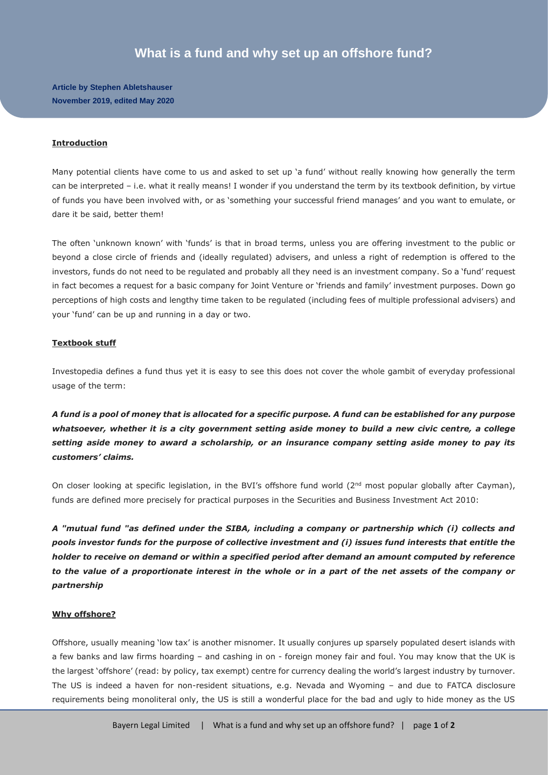**Article by Stephen Abletshauser November 2019, edited May 2020**

## **Introduction**

Many potential clients have come to us and asked to set up 'a fund' without really knowing how generally the term can be interpreted – i.e. what it really means! I wonder if you understand the term by its textbook definition, by virtue of funds you have been involved with, or as 'something your successful friend manages' and you want to emulate, or dare it be said, better them!

The often 'unknown known' with 'funds' is that in broad terms, unless you are offering investment to the public or beyond a close circle of friends and (ideally regulated) advisers, and unless a right of redemption is offered to the investors, funds do not need to be regulated and probably all they need is an investment company. So a 'fund' request in fact becomes a request for a basic company for Joint Venture or 'friends and family' investment purposes. Down go perceptions of high costs and lengthy time taken to be regulated (including fees of multiple professional advisers) and your 'fund' can be up and running in a day or two.

## **Textbook stuff**

Investopedia defines a fund thus yet it is easy to see this does not cover the whole gambit of everyday professional usage of the term:

*A fund is a pool of money that is allocated for a specific purpose. A fund can be established for any purpose whatsoever, whether it is a city government setting aside money to build a new civic centre, a college setting aside money to award a scholarship, or an insurance company setting aside money to pay its customers' claims.*

On closer looking at specific legislation, in the BVI's offshore fund world (2<sup>nd</sup> most popular globally after Cayman), funds are defined more precisely for practical purposes in the Securities and Business Investment Act 2010:

*A "mutual fund "as defined under the SIBA, including a company or partnership which (i) collects and pools investor funds for the purpose of collective investment and (i) issues fund interests that entitle the holder to receive on demand or within a specified period after demand an amount computed by reference to the value of a proportionate interest in the whole or in a part of the net assets of the company or partnership*

## **Why offshore?**

Offshore, usually meaning 'low tax' is another misnomer. It usually conjures up sparsely populated desert islands with a few banks and law firms hoarding – and cashing in on - foreign money fair and foul. You may know that the UK is the largest 'offshore' (read: by policy, tax exempt) centre for currency dealing the world's largest industry by turnover. The US is indeed a haven for non-resident situations, e.g. Nevada and Wyoming – and due to FATCA disclosure requirements being monoliteral only, the US is still a wonderful place for the bad and ugly to hide money as the US